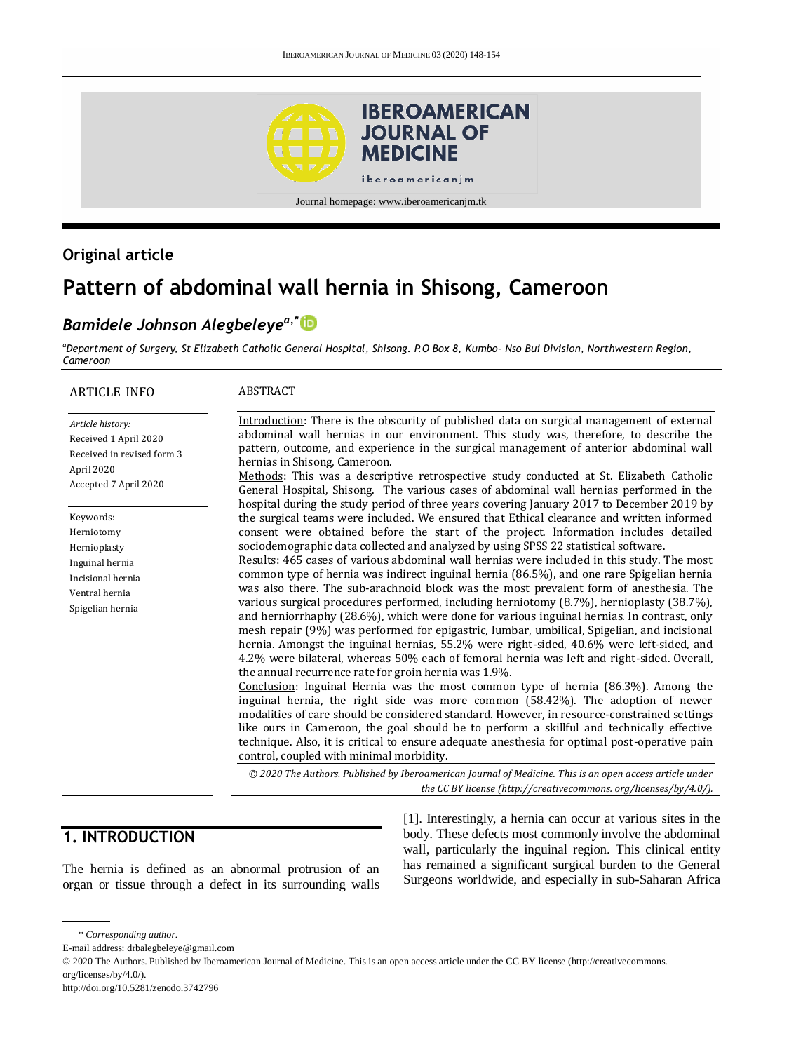

## **Original article**

# **Pattern of abdominal wall hernia in Shisong, Cameroon**

# *Bamidele Johnson Alegbeleyea,\**

*<sup>a</sup>Department of Surgery, St Elizabeth Catholic General Hospital, Shisong. P.O Box 8, Kumbo- Nso Bui Division, Northwestern Region, Cameroon*

| <b>ARTICLE INFO</b>                                                                                            | <b>ABSTRACT</b>                                                                                                                                                                                                                                                                                                                                                                                                                                                                                                                                                                                  |
|----------------------------------------------------------------------------------------------------------------|--------------------------------------------------------------------------------------------------------------------------------------------------------------------------------------------------------------------------------------------------------------------------------------------------------------------------------------------------------------------------------------------------------------------------------------------------------------------------------------------------------------------------------------------------------------------------------------------------|
| Article history:<br>Received 1 April 2020<br>Received in revised form 3<br>April 2020<br>Accepted 7 April 2020 | Introduction: There is the obscurity of published data on surgical management of external<br>abdominal wall hernias in our environment. This study was, therefore, to describe the<br>pattern, outcome, and experience in the surgical management of anterior abdominal wall<br>hernias in Shisong, Cameroon.<br>Methods: This was a descriptive retrospective study conducted at St. Elizabeth Catholic<br>General Hospital, Shisong. The various cases of abdominal wall hernias performed in the<br>hospital during the study period of three years covering January 2017 to December 2019 by |
| Keywords:                                                                                                      | the surgical teams were included. We ensured that Ethical clearance and written informed                                                                                                                                                                                                                                                                                                                                                                                                                                                                                                         |
| Herniotomy                                                                                                     | consent were obtained before the start of the project. Information includes detailed                                                                                                                                                                                                                                                                                                                                                                                                                                                                                                             |
| Hernioplasty                                                                                                   | sociodemographic data collected and analyzed by using SPSS 22 statistical software.                                                                                                                                                                                                                                                                                                                                                                                                                                                                                                              |
| Inguinal hernia                                                                                                | Results: 465 cases of various abdominal wall hernias were included in this study. The most                                                                                                                                                                                                                                                                                                                                                                                                                                                                                                       |
| Incisional hernia                                                                                              | common type of hernia was indirect inguinal hernia (86.5%), and one rare Spigelian hernia                                                                                                                                                                                                                                                                                                                                                                                                                                                                                                        |
| Ventral hernia                                                                                                 | was also there. The sub-arachnoid block was the most prevalent form of anesthesia. The                                                                                                                                                                                                                                                                                                                                                                                                                                                                                                           |
| Spigelian hernia                                                                                               | various surgical procedures performed, including herniotomy (8.7%), hernioplasty (38.7%),<br>and herniorrhaphy (28.6%), which were done for various inguinal hernias. In contrast, only<br>mesh repair (9%) was performed for epigastric, lumbar, umbilical, Spigelian, and incisional<br>hernia. Amongst the inguinal hernias, 55.2% were right-sided, 40.6% were left-sided, and<br>4.2% were bilateral, whereas 50% each of femoral hernia was left and right-sided. Overall,<br>the annual recurrence rate for groin hernia was 1.9%.                                                        |
|                                                                                                                | Conclusion: Inguinal Hernia was the most common type of hernia (86.3%). Among the<br>inguinal hernia, the right side was more common (58.42%). The adoption of newer<br>modalities of care should be considered standard. However, in resource-constrained settings<br>like ours in Cameroon, the goal should be to perform a skillful and technically effective<br>technique. Also, it is critical to ensure adequate anesthesia for optimal post-operative pain<br>control, coupled with minimal morbidity.                                                                                    |
|                                                                                                                | © 2020 The Authors. Published by Iberoamerican Journal of Medicine. This is an open access article under<br>the CC BY license (http://creativecommons. org/licenses/by/4.0/).                                                                                                                                                                                                                                                                                                                                                                                                                    |

### **1. INTRODUCTION**

The hernia is defined as an abnormal protrusion of an organ or tissue through a defect in its surrounding walls [1]. Interestingly, a hernia can occur at various sites in the body. These defects most commonly involve the abdominal wall, particularly the inguinal region. This clinical entity has remained a significant surgical burden to the General Surgeons worldwide, and especially in sub-Saharan Africa

E-mail address: drbalegbeleye@gmail.com

<sup>\*</sup> *Corresponding author.*

<sup>© 2020</sup> The Authors. Published by Iberoamerican Journal of Medicine. This is an open access article under the CC BY license (http://creativecommons. org/licenses/by/4.0/).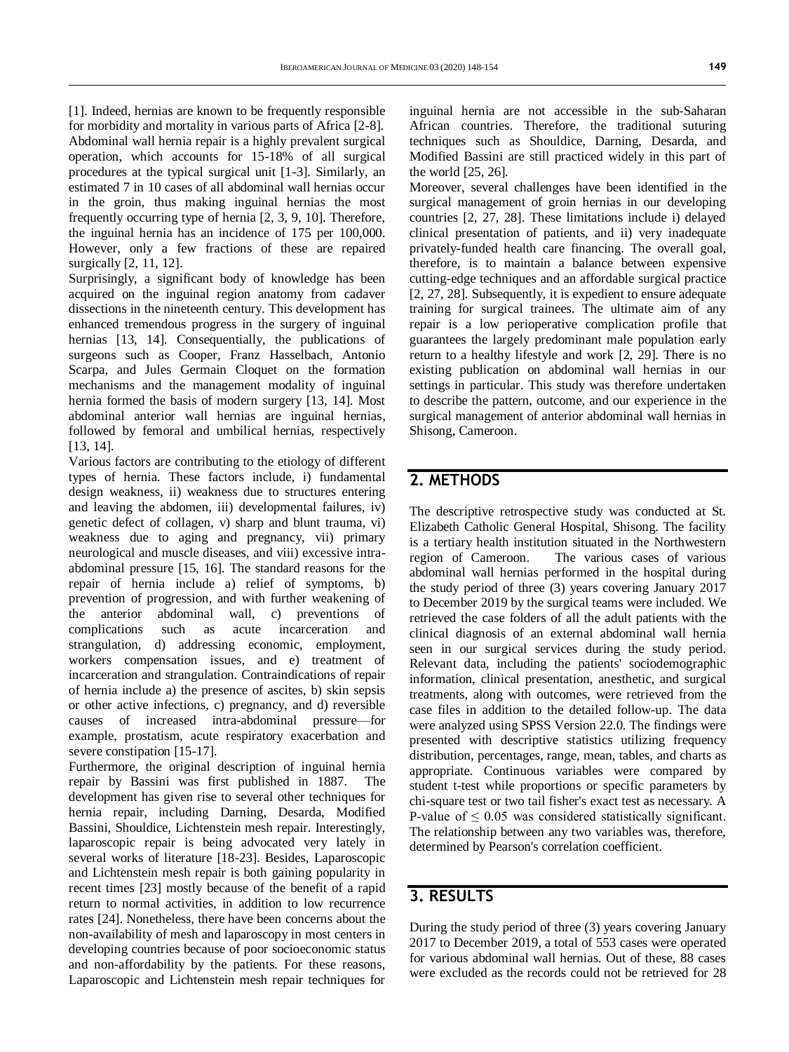[1]. Indeed, hernias are known to be frequently responsible for morbidity and mortality in various parts of Africa [2-8]. Abdominal wall hernia repair is a highly prevalent surgical operation, which accounts for 15-18% of all surgical procedures at the typical surgical unit [1-3]. Similarly, an estimated 7 in 10 cases of all abdominal wall hernias occur in the groin, thus making inguinal hernias the most frequently occurring type of hernia [2, 3, 9, 10]. Therefore, the inguinal hernia has an incidence of 175 per 100,000. However, only a few fractions of these are repaired surgically [2, 11, 12].

Surprisingly, a significant body of knowledge has been acquired on the inguinal region anatomy from cadaver dissections in the nineteenth century. This development has enhanced tremendous progress in the surgery of inguinal hernias [13, 14]. Consequentially, the publications of surgeons such as Cooper, Franz Hasselbach, Antonio Scarpa, and Jules Germain Cloquet on the formation mechanisms and the management modality of inguinal hernia formed the basis of modern surgery [13, 14]. Most abdominal anterior wall hernias are inguinal hernias, followed by femoral and umbilical hernias, respectively [13, 14].

Various factors are contributing to the etiology of different types of hernia. These factors include, i) fundamental design weakness, ii) weakness due to structures entering and leaving the abdomen, iii) developmental failures, iv) genetic defect of collagen, v) sharp and blunt trauma, vi) weakness due to aging and pregnancy, vii) primary neurological and muscle diseases, and viii) excessive intraabdominal pressure [15, 16]. The standard reasons for the repair of hernia include a) relief of symptoms, b) prevention of progression, and with further weakening of the anterior abdominal wall, c) preventions of complications such as acute incarceration and strangulation, d) addressing economic, employment, workers compensation issues, and e) treatment of incarceration and strangulation. Contraindications of repair of hernia include a) the presence of ascites, b) skin sepsis or other active infections, c) pregnancy, and d) reversible causes of increased intra-abdominal pressure—for example, prostatism, acute respiratory exacerbation and severe constipation [15-17].

Furthermore, the original description of inguinal hernia repair by Bassini was first published in 1887. The development has given rise to several other techniques for hernia repair, including Darning, Desarda, Modified Bassini, Shouldice, Lichtenstein mesh repair. Interestingly, laparoscopic repair is being advocated very lately in several works of literature [18-23]. Besides, Laparoscopic and Lichtenstein mesh repair is both gaining popularity in recent times [23] mostly because of the benefit of a rapid return to normal activities, in addition to low recurrence rates [24]. Nonetheless, there have been concerns about the non-availability of mesh and laparoscopy in most centers in developing countries because of poor socioeconomic status and non-affordability by the patients. For these reasons, Laparoscopic and Lichtenstein mesh repair techniques for

inguinal hernia are not accessible in the sub-Saharan African countries. Therefore, the traditional suturing techniques such as Shouldice, Darning, Desarda, and Modified Bassini are still practiced widely in this part of the world [25, 26].

Moreover, several challenges have been identified in the surgical management of groin hernias in our developing countries [2, 27, 28]. These limitations include i) delayed clinical presentation of patients, and ii) very inadequate privately-funded health care financing. The overall goal, therefore, is to maintain a balance between expensive cutting-edge techniques and an affordable surgical practice [2, 27, 28]. Subsequently, it is expedient to ensure adequate training for surgical trainees. The ultimate aim of any repair is a low perioperative complication profile that guarantees the largely predominant male population early return to a healthy lifestyle and work [2, 29]. There is no existing publication on abdominal wall hernias in our settings in particular. This study was therefore undertaken to describe the pattern, outcome, and our experience in the surgical management of anterior abdominal wall hernias in Shisong, Cameroon.

#### **2. METHODS**

The descriptive retrospective study was conducted at St. Elizabeth Catholic General Hospital, Shisong. The facility is a tertiary health institution situated in the Northwestern region of Cameroon. The various cases of various abdominal wall hernias performed in the hospital during the study period of three (3) years covering January 2017 to December 2019 by the surgical teams were included. We retrieved the case folders of all the adult patients with the clinical diagnosis of an external abdominal wall hernia seen in our surgical services during the study period. Relevant data, including the patients' sociodemographic information, clinical presentation, anesthetic, and surgical treatments, along with outcomes, were retrieved from the case files in addition to the detailed follow-up. The data were analyzed using SPSS Version 22.0. The findings were presented with descriptive statistics utilizing frequency distribution, percentages, range, mean, tables, and charts as appropriate. Continuous variables were compared by student t-test while proportions or specific parameters by chi-square test or two tail fisher's exact test as necessary. A P-value of  $\leq 0.05$  was considered statistically significant. The relationship between any two variables was, therefore, determined by Pearson's correlation coefficient.

#### **3. RESULTS**

During the study period of three (3) years covering January 2017 to December 2019, a total of 553 cases were operated for various abdominal wall hernias. Out of these, 88 cases were excluded as the records could not be retrieved for 28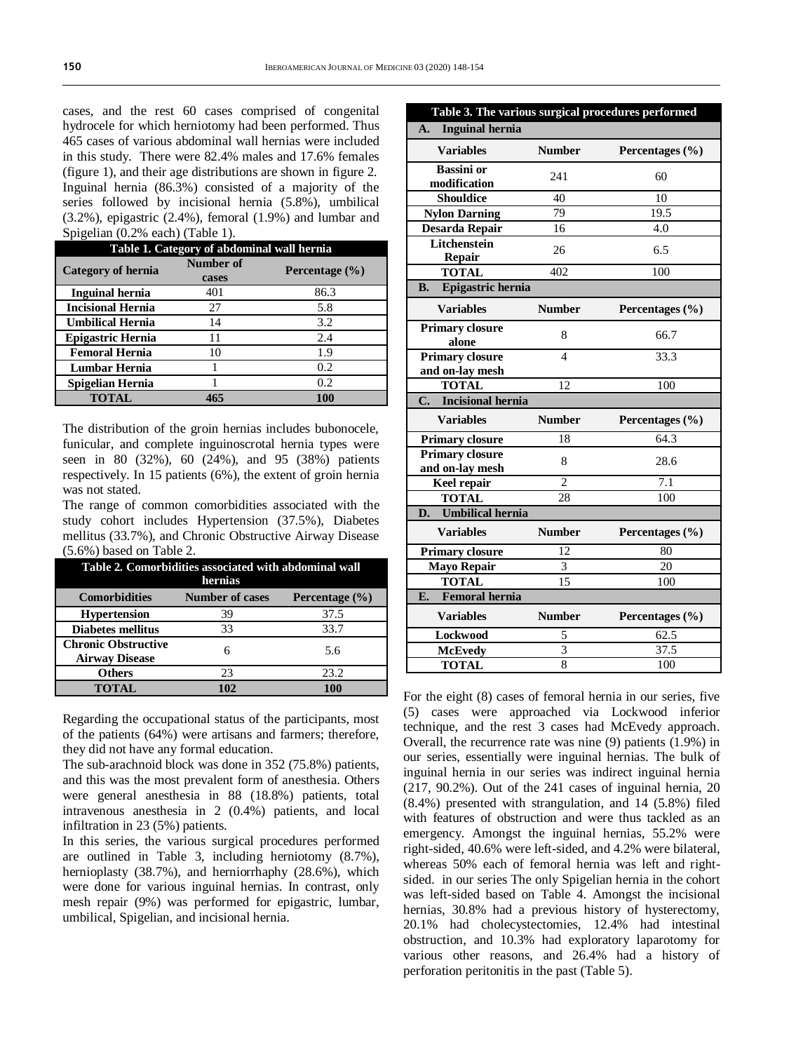cases, and the rest 60 cases comprised of congenital hydrocele for which herniotomy had been performed. Thus 465 cases of various abdominal wall hernias were included in this study. There were 82.4% males and 17.6% females (figure 1), and their age distributions are shown in figure 2. Inguinal hernia (86.3%) consisted of a majority of the series followed by incisional hernia (5.8%), umbilical (3.2%), epigastric (2.4%), femoral (1.9%) and lumbar and Spigelian (0.2% each) (Table 1).

| Table 1. Category of abdominal wall hernia |                    |                    |  |  |
|--------------------------------------------|--------------------|--------------------|--|--|
| Category of hernia                         | Number of<br>cases | Percentage $(\% )$ |  |  |
| <b>Inguinal hernia</b>                     | 401                | 86.3               |  |  |
| <b>Incisional Hernia</b>                   | 27                 | 5.8                |  |  |
| <b>Umbilical Hernia</b>                    | 14                 | 3.2                |  |  |
| <b>Epigastric Hernia</b>                   | 11                 | 2.4                |  |  |
| <b>Femoral Hernia</b>                      | 10                 | 1.9                |  |  |
| Lumbar Hernia                              |                    | 0.2                |  |  |
| Spigelian Hernia                           |                    | 0.2                |  |  |
| <b>TOTAL</b>                               | 465                | 100                |  |  |

The distribution of the groin hernias includes bubonocele, funicular, and complete inguinoscrotal hernia types were seen in 80 (32%), 60 (24%), and 95 (38%) patients respectively. In 15 patients (6%), the extent of groin hernia was not stated.

The range of common comorbidities associated with the study cohort includes Hypertension (37.5%), Diabetes mellitus (33.7%), and Chronic Obstructive Airway Disease (5.6%) based on Table 2.

| Table 2. Comorbidities associated with abdominal wall<br>hernias |                        |                    |  |  |
|------------------------------------------------------------------|------------------------|--------------------|--|--|
| <b>Comorbidities</b>                                             | <b>Number of cases</b> | Percentage $(\% )$ |  |  |
| <b>Hypertension</b>                                              | 39                     | 37.5               |  |  |
| <b>Diabetes mellitus</b>                                         | 33                     | 33.7               |  |  |
| <b>Chronic Obstructive</b><br><b>Airway Disease</b>              |                        | 5.6                |  |  |
| <b>Others</b>                                                    | 23                     | 23.2               |  |  |
| <b>TOTAL</b>                                                     | 102                    | 100                |  |  |

Regarding the occupational status of the participants, most of the patients (64%) were artisans and farmers; therefore, they did not have any formal education.

The sub-arachnoid block was done in 352 (75.8%) patients, and this was the most prevalent form of anesthesia. Others were general anesthesia in 88 (18.8%) patients, total intravenous anesthesia in 2 (0.4%) patients, and local infiltration in 23 (5%) patients.

In this series, the various surgical procedures performed are outlined in Table 3, including herniotomy (8.7%), hernioplasty (38.7%), and herniorrhaphy (28.6%), which were done for various inguinal hernias. In contrast, only mesh repair (9%) was performed for epigastric, lumbar, umbilical, Spigelian, and incisional hernia.

| Table 3. The various surgical procedures performed           |                          |                     |  |  |
|--------------------------------------------------------------|--------------------------|---------------------|--|--|
| <b>Inguinal hernia</b><br>A.                                 |                          |                     |  |  |
| <b>Variables</b>                                             | <b>Number</b>            | Percentages $(\% )$ |  |  |
| <b>Bassini</b> or                                            | 241                      | 60                  |  |  |
| modification                                                 |                          |                     |  |  |
| <b>Shouldice</b>                                             | 40                       | 10                  |  |  |
| <b>Nylon Darning</b>                                         | 79                       | 19.5                |  |  |
| Desarda Repair                                               | 16                       | 4.0                 |  |  |
| Litchenstein                                                 | 26                       | 6.5                 |  |  |
| <b>Repair</b>                                                |                          |                     |  |  |
| <b>TOTAL</b><br>402<br>100<br>Epigastric hernia<br><b>B.</b> |                          |                     |  |  |
|                                                              |                          |                     |  |  |
| <b>Variables</b>                                             | <b>Number</b>            | Percentages $(\% )$ |  |  |
| <b>Primary closure</b><br>alone                              | 8                        | 66.7                |  |  |
| <b>Primary closure</b><br>and on-lay mesh                    | $\overline{\mathcal{L}}$ | 33.3                |  |  |
| <b>TOTAL</b>                                                 | 12                       | 100                 |  |  |
|                                                              |                          |                     |  |  |
| <b>Incisional hernia</b><br>C.                               |                          |                     |  |  |
| <b>Variables</b>                                             | <b>Number</b>            | Percentages $(\% )$ |  |  |
| <b>Primary closure</b>                                       | 18                       | 64.3                |  |  |
| <b>Primary closure</b><br>and on-lay mesh                    | 8                        | 28.6                |  |  |
| <b>Keel repair</b>                                           | $\mathfrak{D}$           | 7.1                 |  |  |
| <b>TOTAL</b>                                                 | 28                       | 100                 |  |  |
| <b>Umbilical hernia</b><br>D.                                |                          |                     |  |  |
| <b>Variables</b>                                             | <b>Number</b>            | Percentages (%)     |  |  |
| <b>Primary closure</b>                                       | 12                       | 80                  |  |  |
|                                                              | $\overline{3}$           | 20                  |  |  |
| Mayo Repair<br><b>TOTAL</b>                                  | 15                       | 100                 |  |  |
| <b>Femoral hernia</b><br>E.                                  |                          |                     |  |  |
| <b>Variables</b>                                             | <b>Number</b>            | Percentages $(\% )$ |  |  |
| Lockwood                                                     | 5                        | 62.5                |  |  |
| <b>McEvedy</b><br><b>TOTAL</b>                               | 3                        | 37.5                |  |  |

For the eight (8) cases of femoral hernia in our series, five (5) cases were approached via Lockwood inferior technique, and the rest 3 cases had McEvedy approach. Overall, the recurrence rate was nine (9) patients (1.9%) in our series, essentially were inguinal hernias. The bulk of inguinal hernia in our series was indirect inguinal hernia (217, 90.2%). Out of the 241 cases of inguinal hernia, 20 (8.4%) presented with strangulation, and 14 (5.8%) filed with features of obstruction and were thus tackled as an emergency. Amongst the inguinal hernias, 55.2% were right-sided, 40.6% were left-sided, and 4.2% were bilateral, whereas 50% each of femoral hernia was left and rightsided. in our series The only Spigelian hernia in the cohort was left-sided based on Table 4. Amongst the incisional hernias, 30.8% had a previous history of hysterectomy, 20.1% had cholecystectomies, 12.4% had intestinal obstruction, and 10.3% had exploratory laparotomy for various other reasons, and 26.4% had a history of perforation peritonitis in the past (Table 5).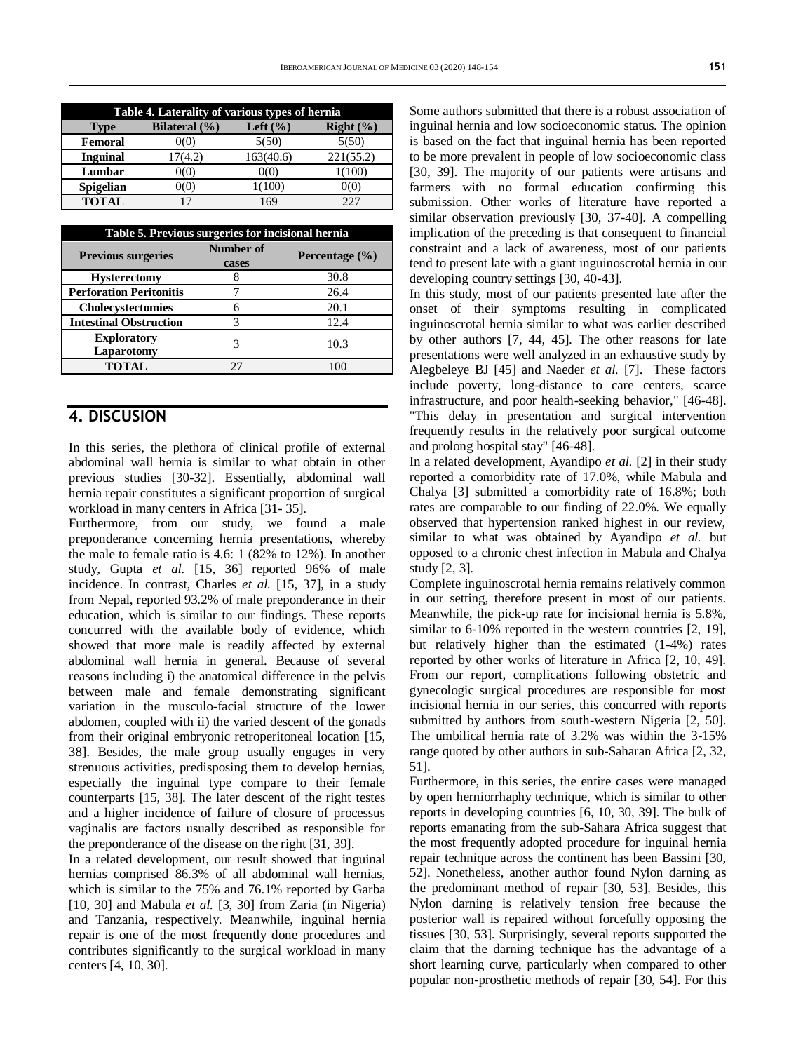| Table 4. Laterality of various types of hernia |                   |              |                |
|------------------------------------------------|-------------------|--------------|----------------|
| <b>Type</b>                                    | Bilateral $(\% )$ | Left $(\% )$ | $Right($ % $)$ |
| Femoral                                        | 0(0)              | 5(50)        | 5(50)          |
| <b>Inguinal</b>                                | 17(4.2)           | 163(40.6)    | 221(55.2)      |
| Lumbar                                         | 0(0)              | 0(0)         | 1(100)         |
| <b>Spigelian</b>                               | )(O)              | 1(100)       | 0(0)           |
| <b>TOTAL</b>                                   |                   | 169          | フフフ            |

| Table 5. Previous surgeries for incisional hernia |                    |                    |  |
|---------------------------------------------------|--------------------|--------------------|--|
| <b>Previous surgeries</b>                         | Number of<br>cases | Percentage $(\% )$ |  |
| <b>Hysterectomy</b>                               | 8                  | 30.8               |  |
| <b>Perforation Peritonitis</b>                    |                    | 26.4               |  |
| Cholecystectomies                                 | 6                  | 20.1               |  |
| <b>Intestinal Obstruction</b>                     | 3                  | 12.4               |  |
| <b>Exploratory</b><br>Laparotomy                  |                    | 10.3               |  |
| <b>TOTAL</b>                                      | 27                 | 10C                |  |

#### **4. DISCUSION**

In this series, the plethora of clinical profile of external abdominal wall hernia is similar to what obtain in other previous studies [30-32]. Essentially, abdominal wall hernia repair constitutes a significant proportion of surgical workload in many centers in Africa [31- 35].

Furthermore, from our study, we found a male preponderance concerning hernia presentations, whereby the male to female ratio is 4.6: 1 (82% to 12%). In another study, Gupta *et al.* [15, 36] reported 96% of male incidence. In contrast, Charles *et al.* [15, 37], in a study from Nepal, reported 93.2% of male preponderance in their education, which is similar to our findings. These reports concurred with the available body of evidence, which showed that more male is readily affected by external abdominal wall hernia in general. Because of several reasons including i) the anatomical difference in the pelvis between male and female demonstrating significant variation in the musculo-facial structure of the lower abdomen, coupled with ii) the varied descent of the gonads from their original embryonic retroperitoneal location [15, 38]. Besides, the male group usually engages in very strenuous activities, predisposing them to develop hernias, especially the inguinal type compare to their female counterparts [15, 38]. The later descent of the right testes and a higher incidence of failure of closure of processus vaginalis are factors usually described as responsible for the preponderance of the disease on the right [31, 39].

In a related development, our result showed that inguinal hernias comprised 86.3% of all abdominal wall hernias, which is similar to the 75% and 76.1% reported by Garba [10, 30] and Mabula *et al.* [3, 30] from Zaria (in Nigeria) and Tanzania, respectively. Meanwhile, inguinal hernia repair is one of the most frequently done procedures and contributes significantly to the surgical workload in many centers [4, 10, 30].

Some authors submitted that there is a robust association of inguinal hernia and low socioeconomic status. The opinion is based on the fact that inguinal hernia has been reported to be more prevalent in people of low socioeconomic class [30, 39]. The majority of our patients were artisans and farmers with no formal education confirming this submission. Other works of literature have reported a similar observation previously [30, 37-40]. A compelling implication of the preceding is that consequent to financial constraint and a lack of awareness, most of our patients tend to present late with a giant inguinoscrotal hernia in our developing country settings [30, 40-43].

In this study, most of our patients presented late after the onset of their symptoms resulting in complicated inguinoscrotal hernia similar to what was earlier described by other authors [7, 44, 45]. The other reasons for late presentations were well analyzed in an exhaustive study by Alegbeleye BJ [45] and Naeder *et al.* [7]. These factors include poverty, long-distance to care centers, scarce infrastructure, and poor health-seeking behavior," [46-48]. "This delay in presentation and surgical intervention frequently results in the relatively poor surgical outcome and prolong hospital stay" [46-48].

In a related development, Ayandipo *et al.* [2] in their study reported a comorbidity rate of 17.0%, while Mabula and Chalya [3] submitted a comorbidity rate of 16.8%; both rates are comparable to our finding of 22.0%. We equally observed that hypertension ranked highest in our review, similar to what was obtained by Ayandipo *et al.* but opposed to a chronic chest infection in Mabula and Chalya study [2, 3].

Complete inguinoscrotal hernia remains relatively common in our setting, therefore present in most of our patients. Meanwhile, the pick-up rate for incisional hernia is 5.8%, similar to 6-10% reported in the western countries [2, 19], but relatively higher than the estimated (1-4%) rates reported by other works of literature in Africa [2, 10, 49]. From our report, complications following obstetric and gynecologic surgical procedures are responsible for most incisional hernia in our series, this concurred with reports submitted by authors from south-western Nigeria [2, 50]. The umbilical hernia rate of 3.2% was within the 3-15% range quoted by other authors in sub-Saharan Africa [2, 32, 51].

Furthermore, in this series, the entire cases were managed by open herniorrhaphy technique, which is similar to other reports in developing countries [6, 10, 30, 39]. The bulk of reports emanating from the sub-Sahara Africa suggest that the most frequently adopted procedure for inguinal hernia repair technique across the continent has been Bassini [30, 52]. Nonetheless, another author found Nylon darning as the predominant method of repair [30, 53]. Besides, this Nylon darning is relatively tension free because the posterior wall is repaired without forcefully opposing the tissues [30, 53]. Surprisingly, several reports supported the claim that the darning technique has the advantage of a short learning curve, particularly when compared to other popular non-prosthetic methods of repair [30, 54]. For this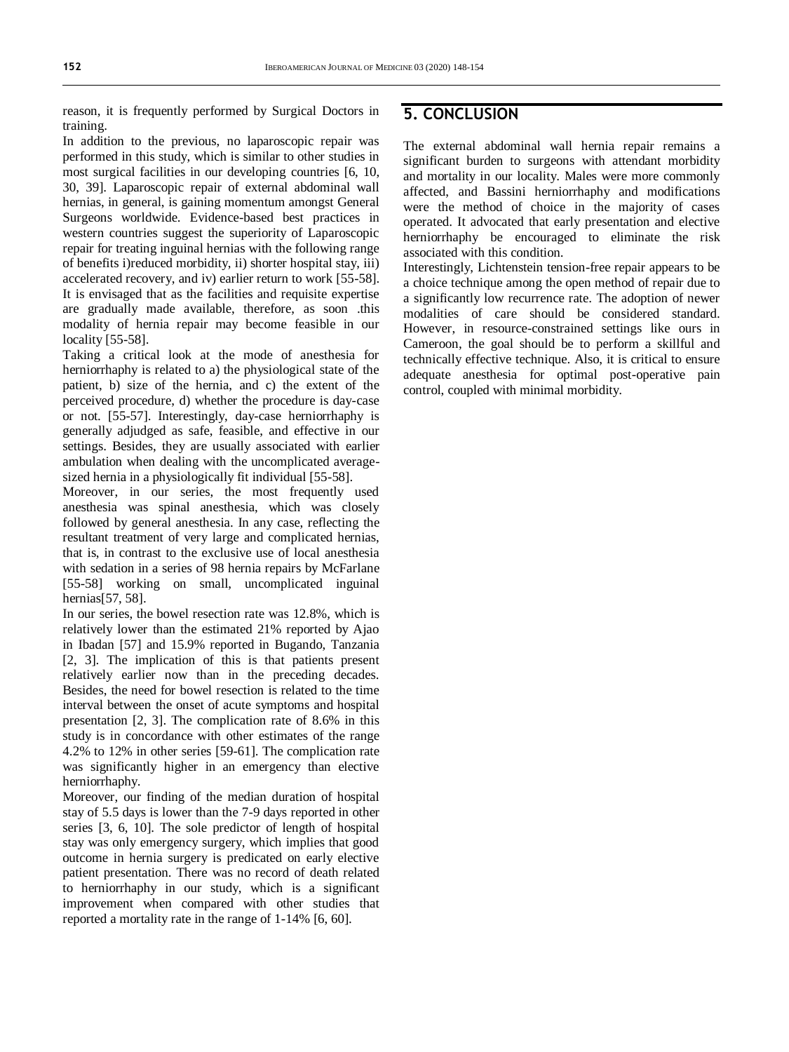reason, it is frequently performed by Surgical Doctors in training.

In addition to the previous, no laparoscopic repair was performed in this study, which is similar to other studies in most surgical facilities in our developing countries [6, 10, 30, 39]. Laparoscopic repair of external abdominal wall hernias, in general, is gaining momentum amongst General Surgeons worldwide. Evidence-based best practices in western countries suggest the superiority of Laparoscopic repair for treating inguinal hernias with the following range of benefits i)reduced morbidity, ii) shorter hospital stay, iii) accelerated recovery, and iv) earlier return to work [55-58]. It is envisaged that as the facilities and requisite expertise are gradually made available, therefore, as soon .this modality of hernia repair may become feasible in our locality [55-58].

Taking a critical look at the mode of anesthesia for herniorrhaphy is related to a) the physiological state of the patient, b) size of the hernia, and c) the extent of the perceived procedure, d) whether the procedure is day-case or not. [55-57]. Interestingly, day-case herniorrhaphy is generally adjudged as safe, feasible, and effective in our settings. Besides, they are usually associated with earlier ambulation when dealing with the uncomplicated averagesized hernia in a physiologically fit individual [55-58].

Moreover, in our series, the most frequently used anesthesia was spinal anesthesia, which was closely followed by general anesthesia. In any case, reflecting the resultant treatment of very large and complicated hernias, that is, in contrast to the exclusive use of local anesthesia with sedation in a series of 98 hernia repairs by McFarlane [55-58] working on small, uncomplicated inguinal hernias[57, 58].

In our series, the bowel resection rate was 12.8%, which is relatively lower than the estimated 21% reported by Ajao in Ibadan [57] and 15.9% reported in Bugando, Tanzania [2, 3]. The implication of this is that patients present relatively earlier now than in the preceding decades. Besides, the need for bowel resection is related to the time interval between the onset of acute symptoms and hospital presentation [2, 3]. The complication rate of 8.6% in this study is in concordance with other estimates of the range 4.2% to 12% in other series [59-61]. The complication rate was significantly higher in an emergency than elective herniorrhaphy.

Moreover, our finding of the median duration of hospital stay of 5.5 days is lower than the 7-9 days reported in other series [3, 6, 10]. The sole predictor of length of hospital stay was only emergency surgery, which implies that good outcome in hernia surgery is predicated on early elective patient presentation. There was no record of death related to herniorrhaphy in our study, which is a significant improvement when compared with other studies that reported a mortality rate in the range of 1-14% [6, 60].

#### **5. CONCLUSION**

The external abdominal wall hernia repair remains a significant burden to surgeons with attendant morbidity and mortality in our locality. Males were more commonly affected, and Bassini herniorrhaphy and modifications were the method of choice in the majority of cases operated. It advocated that early presentation and elective herniorrhaphy be encouraged to eliminate the risk associated with this condition.

Interestingly, Lichtenstein tension-free repair appears to be a choice technique among the open method of repair due to a significantly low recurrence rate. The adoption of newer modalities of care should be considered standard. However, in resource-constrained settings like ours in Cameroon, the goal should be to perform a skillful and technically effective technique. Also, it is critical to ensure adequate anesthesia for optimal post-operative pain control, coupled with minimal morbidity.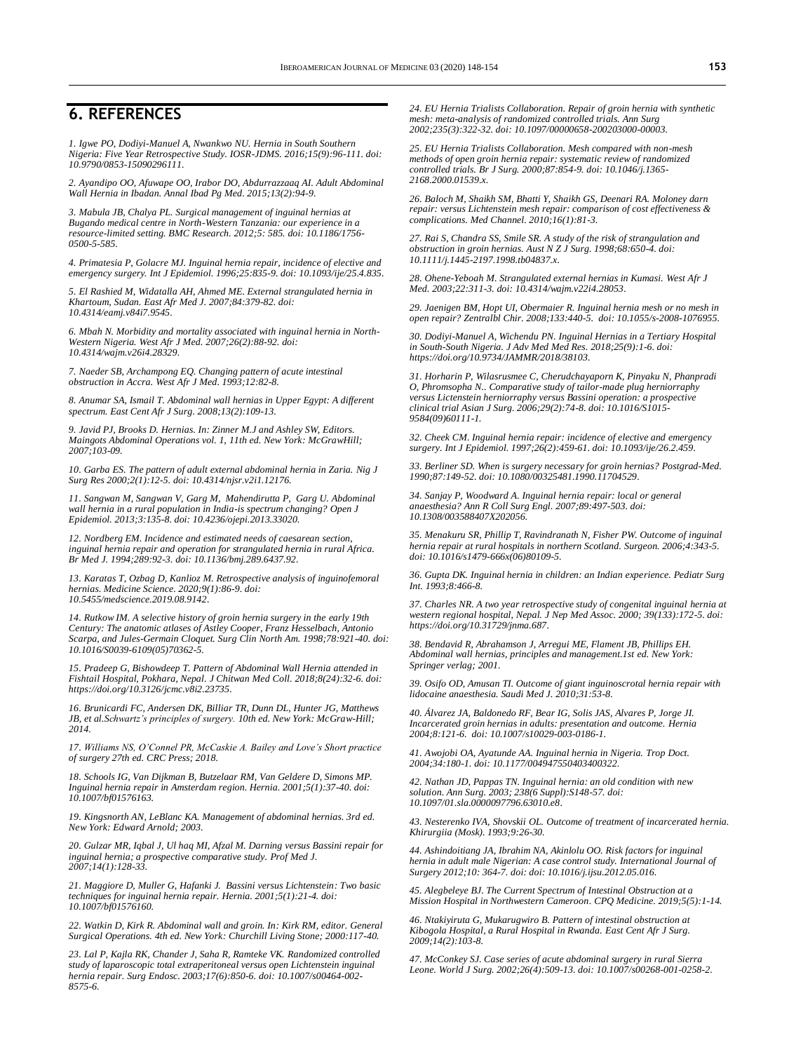#### **6. REFERENCES**

*1. Igwe PO, Dodiyi-Manuel A, Nwankwo NU. Hernia in South Southern Nigeria: Five Year Retrospective Study. IOSR-JDMS. 2016;15(9):96-111. doi: [10.9790/0853-15090296111.](https://pdfs.semanticscholar.org/03a7/e28fcfd5394f182a1cc88bf176a754c744c6.pdf)*

*2. Ayandipo OO, Afuwape OO, Irabor DO, Abdurrazzaaq AI. Adult Abdominal Wall Hernia in Ibadan. Annal Ibad Pg Med. 2015;13(2):94-9.*

*3. Mabula JB, Chalya PL. Surgical management of inguinal hernias at Bugando medical centre in North-Western Tanzania: our experience in a resource-limited setting. BMC Research. 2012;5: 585. doi[: 10.1186/1756-](https://doi.org/10.1186/1756-0500-5-585) [0500-5-585.](https://doi.org/10.1186/1756-0500-5-585)*

*4. Primatesia P, Golacre MJ. Inguinal hernia repair, incidence of elective and emergency surgery. Int J Epidemiol. 1996;25:835-9. doi[: 10.1093/ije/25.4.835.](https://doi.org/10.1093/ije/25.4.835)*

*5. El Rashied M, Widatalla AH, Ahmed ME. External strangulated hernia in Khartoum, Sudan. East Afr Med J. 2007;84:379-82. doi: [10.4314/eamj.v84i7.9545.](https://doi.org/10.4314/eamj.v84i7.9545)*

*6. Mbah N. Morbidity and mortality associated with inguinal hernia in North-Western Nigeria. West Afr J Med. 2007;26(2):88-92. doi: [10.4314/wajm.v26i4.28329.](https://doi.org/10.4314/wajm.v26i4.28329)*

*7. Naeder SB, Archampong EQ. Changing pattern of acute intestinal obstruction in Accra. West Afr J Med. 1993;12:82-8.* 

*8. Anumar SA, Ismail T. Abdominal wall hernias in Upper Egypt: A different spectrum. East Cent Afr J Surg. 2008;13(2):109-13.*

*9. Javid PJ, Brooks D. Hernias. In: Zinner M.J and Ashley SW, Editors. Maingots Abdominal Operations vol. 1, 11th ed. New York: McGrawHill; 2007;103-09.* 

*10. Garba ES. The pattern of adult external abdominal hernia in Zaria. Nig J Surg Res 2000;2(1):12-5. doi[: 10.4314/njsr.v2i1.12176.](https://doi.org/10.4314/njsr.v2i1.12176)*

*11. Sangwan M, Sangwan V, Garg M, Mahendirutta P, Garg U. Abdominal wall hernia in a rural population in India-is spectrum changing? Open J Epidemiol. 2013;3:135-8. doi: [10.4236/ojepi.2013.33020.](http://dx.doi.org/10.4236/ojepi.2013.33020)*

*12. Nordberg EM. Incidence and estimated needs of caesarean section, inguinal hernia repair and operation for strangulated hernia in rural Africa. Br Med J. 1994;289:92-3. doi[: 10.1136/bmj.289.6437.92.](https://doi.org/10.1136/bmj.289.6437.92)*

*13. Karatas T, Ozbag D, Kanlioz M. Retrospective analysis of inguinofemoral hernias. Medicine Science. 2020;9(1):86-9. doi: [10.5455/medscience.2019.08.9142.](https://www.researchgate.net/deref/http%3A%2F%2Fdx.doi.org%2F10.5455%2Fmedscience.2019.08.9142?_sg%5B0%5D=aE41KRtD1BctYvblHn0sdU_Hq1B4Vtta6TzonWLVb16xjcgFjgReDf_2fyzIZfyUmQLaVwhRPfSn9dmipM7EbZfvGQ.X-eZfhN8NftxW89GbpFU7LvV-tfLQJbx_925i5Q1KL9OO85_CQDGgnbLqk_S6RV8oILAxy1kq8_SA_3pq_5hoA)*

*14. Rutkow IM. A selective history of groin hernia surgery in the early 19th Century: The anatomic atlases of Astley Cooper, Franz Hesselbach, Antonio Scarpa, and Jules-Germain Cloquet. Surg Clin North Am. 1998;78:921-40. doi: [10.1016/S0039-6109\(05\)70362-5.](https://doi.org/10.1016/S0039-6109(05)70362-5)*

*15. Pradeep G, Bishowdeep T. Pattern of Abdominal Wall Hernia attended in Fishtail Hospital, Pokhara, Nepal. J Chitwan Med Coll. 2018;8(24):32-6. doi: [https://doi.org/10.3126/jcmc.v8i2.23735.](https://doi.org/10.3126/jcmc.v8i2.23735)*

*16. Brunicardi FC, Andersen DK, Billiar TR, Dunn DL, Hunter JG, Matthews JB, et al.Schwartz's principles of surgery. 10th ed. New York: McGraw-Hill; 2014.* 

*17. Williams NS, O'Connel PR, McCaskie A. Bailey and Love's Short practice of surgery 27th ed. CRC Press; 2018.*

*18. Schools IG, Van Dijkman B, Butzelaar RM, Van Geldere D, Simons MP. Inguinal hernia repair in Amsterdam region. Hernia. 2001;5(1):37-40. doi: [10.1007/bf01576163.](https://doi.org/10.1007/bf01576163)*

*19. Kingsnorth AN, LeBlanc KA. Management of abdominal hernias. 3rd ed. New York: Edward Arnold; 2003.*

*20. Gulzar MR, Iqbal J, Ul haq MI, Afzal M. Darning versus Bassini repair for inguinal hernia; a prospective comparative study. Prof Med J. 2007;14(1):128-33.*

*21. Maggiore D, Muller G, Hafanki J. Bassini versus Lichtenstein: Two basic techniques for inguinal hernia repair. Hernia. 2001;5(1):21-4. doi: [10.1007/bf01576160.](https://doi.org/10.1007/bf01576160)*

*22. Watkin D, Kirk R. Abdominal wall and groin. In: Kirk RM, editor. General Surgical Operations. 4th ed. New York: Churchill Living Stone; 2000:117-40.*

*23. Lal P, Kajla RK, Chander J, Saha R, Ramteke VK. Randomized controlled study of laparoscopic total extraperitoneal versus open Lichtenstein inguinal hernia repair. Surg Endosc. 2003;17(6):850-6. doi[: 10.1007/s00464-002-](https://doi.org/10.1007/s00464-002-8575-6) [8575-6.](https://doi.org/10.1007/s00464-002-8575-6)*

*24. EU Hernia Trialists Collaboration. Repair of groin hernia with synthetic mesh: meta-analysis of randomized controlled trials. Ann Surg 2002;235(3):322-32. doi[: 10.1097/00000658-200203000-00003.](https://doi.org/10.1097/00000658-200203000-00003)*

*25. EU Hernia Trialists Collaboration. Mesh compared with non-mesh methods of open groin hernia repair: systematic review of randomized controlled trials. Br J Surg. 2000;87:854-9. doi[: 10.1046/j.1365-](https://doi.org/10.1046/j.1365-2168.2000.01539.x) [2168.2000.01539.x.](https://doi.org/10.1046/j.1365-2168.2000.01539.x)*

*26. Baloch M, Shaikh SM, Bhatti Y, Shaikh GS, Deenari RA. Moloney darn repair: versus Lichtenstein mesh repair: comparison of cost effectiveness & complications. Med Channel. 2010;16(1):81-3.*

*27. Rai S, Chandra SS, Smile SR. A study of the risk of strangulation and obstruction in groin hernias. Aust N Z J Surg. 1998;68:650-4. doi: [10.1111/j.1445-2197.1998.tb04837.x.](https://doi.org/10.1111/j.1445-2197.1998.tb04837.x)*

*28. Ohene-Yeboah M. Strangulated external hernias in Kumasi. West Afr J Med. 2003;22:311-3. doi[: 10.4314/wajm.v22i4.28053.](https://doi.org/10.4314/wajm.v22i4.28053)*

*29. Jaenigen BM, Hopt UI, Obermaier R. Inguinal hernia mesh or no mesh in open repair? Zentralbl Chir. 2008;133:440-5. doi[: 10.1055/s-2008-1076955.](https://doi.org/10.1055/s-2008-1076955)*

*30. Dodiyi-Manuel A, Wichendu PN. Inguinal Hernias in a Tertiary Hospital in South-South Nigeria. J Adv Med Med Res. 2018;25(9):1-6. doi: [https://doi.org/10.9734/JAMMR/2018/38103.](https://doi.org/10.9734/JAMMR/2018/38103)*

*31. Horharin P, Wilasrusmee C, Cherudchayaporn K, Pinyaku N, Phanpradi O, Phromsopha N.. Comparative study of tailor-made plug herniorraphy versus Lictenstein herniorraphy versus Bassini operation: a prospective clinical trial Asian J Surg. 2006;29(2):74-8. doi[: 10.1016/S1015-](https://doi.org/10.1016/S1015-9584(09)60111-1) [9584\(09\)60111-1.](https://doi.org/10.1016/S1015-9584(09)60111-1)*

*32. Cheek CM. Inguinal hernia repair: incidence of elective and emergency surgery. Int J Epidemiol. 1997;26(2):459-61. doi[: 10.1093/ije/26.2.459.](https://doi.org/10.1093/ije/26.2.459)*

*33. Berliner SD. When is surgery necessary for groin hernias? Postgrad-Med. 1990;87:149-52. doi[: 10.1080/00325481.1990.11704529.](https://doi.org/10.1080/00325481.1990.11704529)*

*34. Sanjay P, Woodward A. Inguinal hernia repair: local or general anaesthesia? Ann R Coll Surg Engl. 2007;89:497-503. doi: [10.1308/003588407X202056.](https://dx.doi.org/10.1308%2F003588407X202056)*

*35. Menakuru SR, Phillip T, Ravindranath N, Fisher PW. Outcome of inguinal hernia repair at rural hospitals in northern Scotland. Surgeon. 2006;4:343-5. doi[: 10.1016/s1479-666x\(06\)80109-5.](https://doi.org/10.1016/s1479-666x(06)80109-5)*

*36. Gupta DK. Inguinal hernia in children: an Indian experience. Pediatr Surg Int. 1993;8:466-8.*

*37. Charles NR. A two year retrospective study of congenital inguinal hernia at western regional hospital, Nepal. J Nep Med Assoc. 2000; 39(133):172-5. doi: [https://doi.org/10.31729/jnma.687.](https://doi.org/10.31729/jnma.687)*

*38. Bendavid R, Abrahamson J, Arregui ME, Flament JB, Phillips EH. Abdominal wall hernias, principles and management.1st ed. New York: Springer verlag; 2001.*

*39. Osifo OD, Amusan TI. Outcome of giant inguinoscrotal hernia repair with lidocaine anaesthesia. Saudi Med J. 2010;31:53-8.*

*40. Álvarez JA, Baldonedo RF, Bear IG, Solis JAS, Alvares P, Jorge JI. Incarcerated groin hernias in adults: presentation and outcome. Hernia 2004;8:121-6. doi[: 10.1007/s10029-003-0186-1.](https://doi.org/10.1007/s10029-003-0186-1)*

*41. Awojobi OA, Ayatunde AA. Inguinal hernia in Nigeria. Trop Doct. 2004;34:180-1. doi[: 10.1177/004947550403400322.](https://doi.org/10.1177/004947550403400322)*

*42. Nathan JD, Pappas TN. Inguinal hernia: an old condition with new solution. Ann Surg. 2003; 238(6 Suppl):S148-57. doi: [10.1097/01.sla.0000097796.63010.e8.](https://doi.org/10.1097/01.sla.0000097796.63010.e8)*

*43. Nesterenko IVA, Shovskii OL. Outcome of treatment of incarcerated hernia. Khirurgiia (Mosk). 1993;9:26-30.*

*44. Ashindoitiang JA, Ibrahim NA, Akinlolu OO. Risk factors for inguinal hernia in adult male Nigerian: A case control study. International Journal of Surgery 2012;10: 364-7. doi: doi: 10.1016/j.ijsu.2012.05.016.*

*45. Alegbeleye BJ. The Current Spectrum of Intestinal Obstruction at a Mission Hospital in Northwestern Cameroon. CPQ Medicine. 2019;5(5):1-14.*

*46. Ntakiyiruta G, Mukarugwiro B. Pattern of intestinal obstruction at Kibogola Hospital, a Rural Hospital in Rwanda. East Cent Afr J Surg. 2009;14(2):103-8.*

*47. McConkey SJ. Case series of acute abdominal surgery in rural Sierra Leone. World J Surg. 2002;26(4):509-13. doi[: 10.1007/s00268-001-0258-2.](https://doi.org/10.1007/s00268-001-0258-2)*